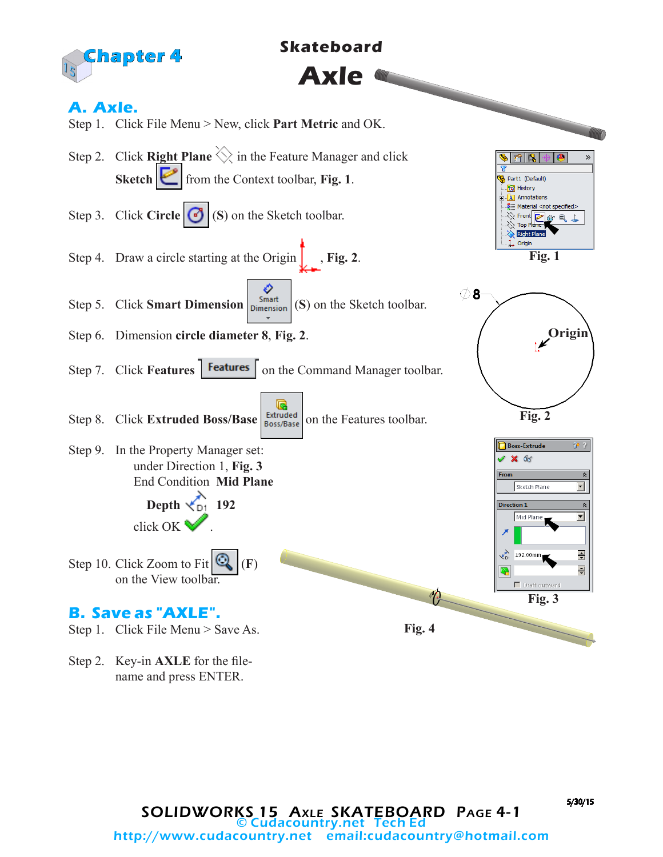

Step 2. Key-in **AXLE** for the filename and press ENTER.

5/30/15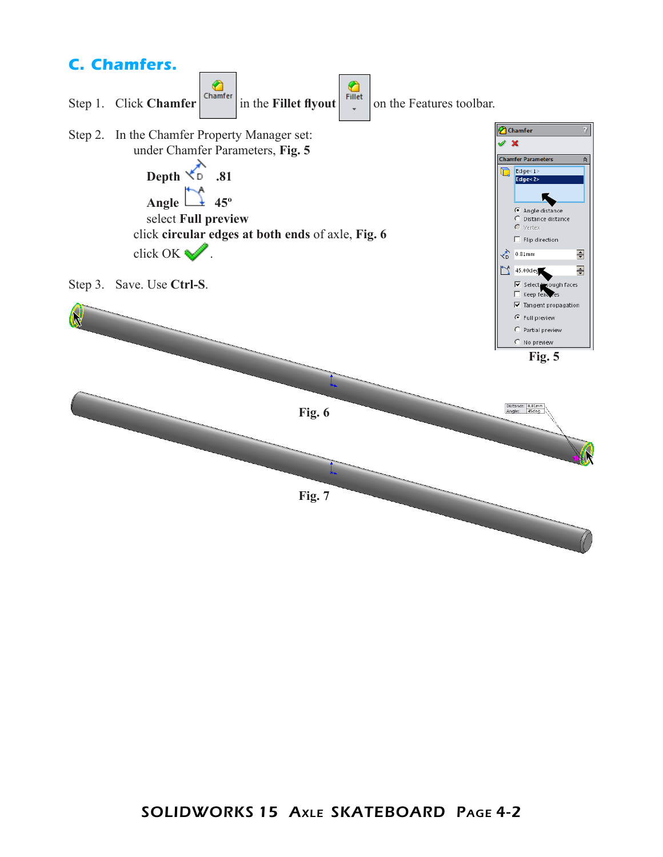

## SOLIDWORKS 15 Axle SKATEBOARD Page 4-2